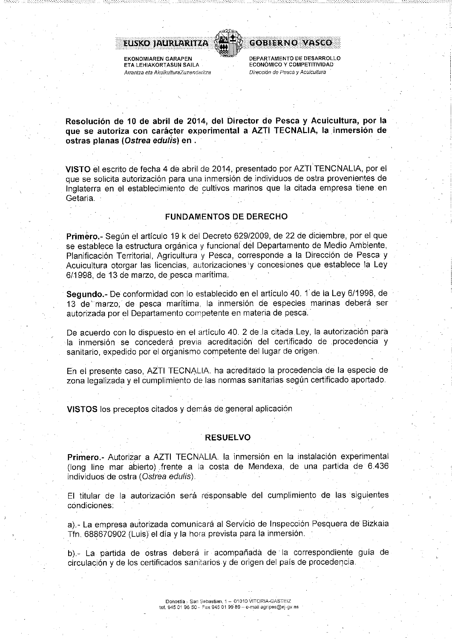

**EKONOMIAREN GARAPEN** ETA LEHIAKORTASUN SAILA Arrantza eta AkuikulturaZuzendaritza



Resolución de 10 de abril de 2014, del Director de Pesca y Acuicultura, por la que se autoriza con carácter experimental a AZTI TECNALIA, la inmersión de ostras planas (Ostrea edulis) en .

VISTO el escrito de fecha 4 de abril de 2014, presentado por AZTI TENCNALIA, por el que se solicita autorización para una inmersión de individuos de ostra provenientes de Inglaterra en el establecimiento de cultivos marinos que la citada empresa tiene en Getaria.

#### **FUNDAMENTOS DE DERECHO**

Primèro.- Según el artículo 19 k del Decreto 629/2009, de 22 de diciembre, por el que se establece la estructura orgánica y funcional del Departamento de Medio Ambiente, Planificación Territorial, Agricultura y Pesca, corresponde a la Dirección de Pesca y Acuicultura otorgar las licencias, autorizaciones y concesiones que establece la Ley 6/1998, de 13 de marzo, de pesca marítima.

Segundo - De conformidad con lo establecido en el artículo 40. 1 de la Ley 6/1998, de 13 de marzo, de pesca marítima, la inmersión de especies marinas deberá ser autorizada por el Departamento competente en materia de pesca.

De acuerdo con lo dispuesto en el artículo 40. 2 de la citada Ley, la autorización para la inmersión se concederá previa acreditación del certificado de procedencia y sanitario, expedido por el organismo competente del lugar de origen.

En el presente caso, AZTI TECNALIA. ha acreditado la procedencia de la especie de zona legalizada y el cumplimiento de las normas sanitarias según certificado aportado.

VISTOS los preceptos citados y demás de general aplicación

#### **RESUELVO**

Primero - Autorizar a AZTI TECNALIA. la inmersión en la instalación experimental (long line mar abierto) frente a la costa de Mendexa, de una partida de 6.436 individuos de ostra (Ostrea edulis).

El titular de la autorización será responsable del cumplimiento de las siguientes condiciones:

a).- La empresa autorizada comunicará al Servicio de Inspección Pesquera de Bizkaia Tfn. 688670902 (Luis) el día y la hora prevista para la inmersión.

b) - La partida de ostras deberá ir acompañada de la correspondiente guía de circulación y de los certificados sanitarios y de origen del país de procedencia.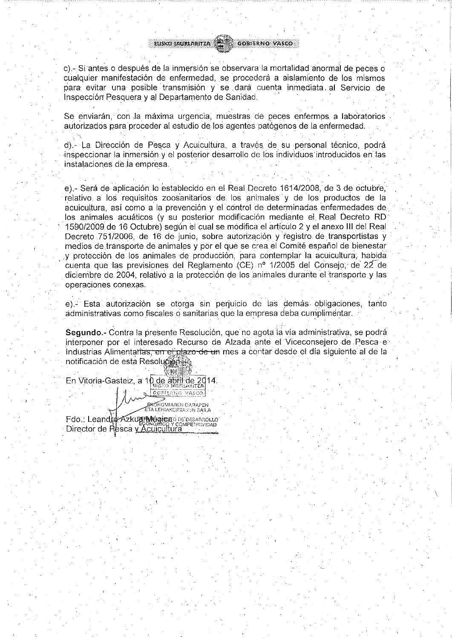EUSKO JAURLARITZA (ALE) GOBIERNO VASCO

c).- Si antes o después de la inmersión se observara la mortalidad anormal de peces o cualquier manifestación de enfermedad, se procederá a aislamiento de los mismos para evitar una posible transmisión y se dará cuenta inmediata al Servicio de Inspección Pesquera y al Departamento de Sanidad.

Se enviarán, con la máxima urgencia, muestras de peces enfermos a laboratorios autorizados para proceder al estudio de los agentes patógenos de la enfermedad.

d).- La Dirección de Pesca y Acuicultura, a través de su personal técnico, podrá inspeccionar la inmersión y el posterior desarrollo de los individuos introducidos en las instalaciones de la empresa.

e).- Será de aplicación lo establecido en el Real Decreto 1614/2008, de 3 de octubre, relativo a los reguisitos zoosanitarios de los animales y de los productos de la acuicultura, así como a la prevención y el control de determinadas enfermedades de los animales acuáticos (y su posterior modificación mediante el Real Decreto RD 1590/2009 de 16 Octubre) según el cual se modifica el artículo 2 y el anexo III del Real Decreto 751/2006, de 16 de junio, sobre autorización y registro de transportistas y medios de transporte de animales y por el que se crea el Comité español de bienestar y protección de los animales de producción, para contemplar la acuicultura, habida cuenta que las previsiones del Reglamento (CE) nº 1/2005 del Consejo, de 22 de diciembre de 2004, relativo a la protección de los animales durante el transporte y las operaciones conexas.

e).- Esta autorización se otorga sin perjuicio de las demás obligaciones, tanto administrativas como fiscales o sanitarias que la empresa deba cumplimentar.

Segundo - Contra la presente Resolución, que no agota la vía administrativa, se podrá interponer por el interesado Recurso de Alzada ante el Viceconsejero de Pesca e Industrias Alimentarias, en el plazo de un mes a contar desde el día siguiente al de la notificación de esta Resolucom

En Vitoria-Gasteiz, a 10 de abril de 2014. **CONFERNO VASCO.** 

**ERONOMIAREN GARAPEN** Fdo.: Leandre Azkure Mógica o DEDESARROLLO Director de Resca y Xculcultura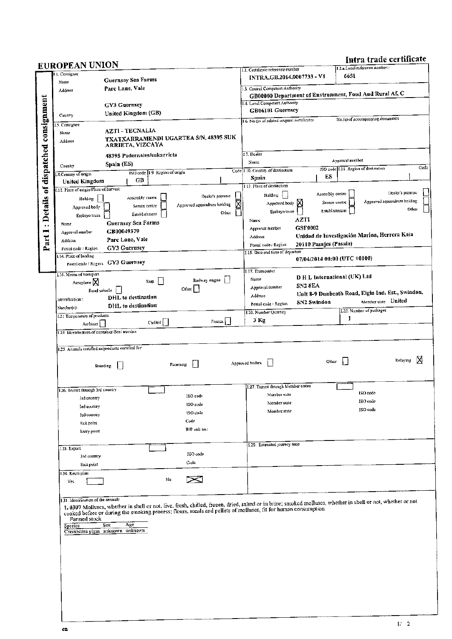Intra trade certificate

| <b>EUROPEAN UNION</b><br>1. Consignor<br>Name            |                                   |                                  |                                                         |        |                                                                 |                |                              |                 | 1.2.a.1.ocal reference number.:      |                                                   |
|----------------------------------------------------------|-----------------------------------|----------------------------------|---------------------------------------------------------|--------|-----------------------------------------------------------------|----------------|------------------------------|-----------------|--------------------------------------|---------------------------------------------------|
|                                                          | <b>Guernsey Sea Farms</b>         |                                  |                                                         |        | J.2. Certificate reference number<br>INTRA.GB.2014.0007733 - V1 |                |                              | 6651            |                                      |                                                   |
| Pare Lane, Vale<br>Address                               |                                   | 1.3. Central Competent Authority |                                                         |        |                                                                 |                |                              |                 |                                      |                                                   |
|                                                          |                                   |                                  | GB00000 Department of Environment, Food And Rural Af, C |        |                                                                 |                |                              |                 |                                      |                                                   |
|                                                          | GY3 Guernsey                      |                                  |                                                         |        | 1.4. Local Competent Authority<br>GB06101 Guernsey              |                |                              |                 |                                      |                                                   |
| Country                                                  | United Kingdom (GB)               |                                  |                                                         |        | 16. No.(s) of related original certificates                     |                |                              |                 | No.(s) of accompanying documents     |                                                   |
| .5. Consignee                                            | <b>AZTI - TECNALIA</b>            |                                  |                                                         |        |                                                                 |                |                              |                 |                                      |                                                   |
| Name                                                     |                                   |                                  | TXATXARRAMENDI UGARTEA S/N, 48395 SUK                   |        |                                                                 |                |                              |                 |                                      |                                                   |
| Address                                                  | ARRIETA, VIZCAYA                  |                                  |                                                         |        |                                                                 |                |                              |                 |                                      |                                                   |
|                                                          | 48395 Pedernales/sukarricta       |                                  |                                                         |        | 17. Dealer                                                      |                |                              |                 |                                      |                                                   |
| Country                                                  | Spain (ES)                        |                                  |                                                         |        | Name                                                            |                |                              | Approval number | ISO code 1.11. Region of destination |                                                   |
| S. Country of origin                                     | GB                                | ISO code 19 Region of origin     |                                                         |        | Code 1.10, Country of destination<br>Spain                      |                | ES                           |                 |                                      |                                                   |
| United Kingdom<br>1.12. Place of origin Place of harvest |                                   |                                  |                                                         |        | 113. Place of destination                                       |                |                              |                 |                                      |                                                   |
| Holding                                                  | Assembly centre                   |                                  | Dealer's premise                                        |        | Holding                                                         |                | Assembly centre              |                 |                                      | Dealer's premise                                  |
| Approved body                                            | Semen centre                      |                                  | Approved aquaculture holding                            |        | Approved body X                                                 |                | Semen centre                 |                 |                                      | Approved aquaculture holding<br>Other             |
| Embryo team                                              | Establishment                     |                                  |                                                         | Other  | Embryo team                                                     | <b>AZTI</b>    | Establishment                |                 |                                      |                                                   |
| Name                                                     | Guernsey Sea Farms                |                                  |                                                         |        | Name<br>Approval number                                         | GSF0002        |                              |                 |                                      |                                                   |
| Approval number                                          | GB00049379<br>Parc Lane, Vale     |                                  |                                                         |        | Address                                                         |                |                              |                 |                                      | Unidad de Investigación Marina, Herrera Kaia      |
| Address<br>Postal code / Region                          | <b>GY3 Guernsey</b>               |                                  |                                                         |        | Postal code - Region                                            |                | 20110 Pasajes (Pasaia)       |                 |                                      |                                                   |
| 1.14. Place of Inading                                   |                                   |                                  |                                                         |        | 1.15. Date and time of departure                                |                | 07/04/2014 00:00 (UTC +0100) |                 |                                      |                                                   |
|                                                          | Postal code / Region GY3 Guernsey |                                  |                                                         |        |                                                                 |                |                              |                 |                                      |                                                   |
| 1.16. Means of transport                                 |                                   |                                  |                                                         |        | 1.17. Transporter<br>Name                                       |                | D H L International (UK) Ltd |                 |                                      |                                                   |
| Aeroplane $\boxtimes$                                    |                                   | Ship                             | Railway wagon    <br>Other                              |        | Approval number                                                 | <b>SN2 8EA</b> |                              |                 |                                      |                                                   |
| Road vehicle<br>Identification::                         | DHL to destination                |                                  |                                                         |        | Address                                                         |                |                              |                 |                                      | Unit 8-9 Dunbeath Road, Elgin Ind. Est., Swindon. |
| Number(s):                                               | DHL to destination                |                                  |                                                         |        | Postal code / Region                                            | SN2 Swindon    |                              |                 | Member state United                  |                                                   |
| 1.21 Temperature of products                             |                                   |                                  |                                                         |        | J.20. Number Quantity                                           |                |                              | 1.              | 1.22. Number of packages             |                                                   |
| Ambient                                                  |                                   | $Chuled$ $\lceil$                |                                                         | Frozen | 3 Kg                                                            |                |                              |                 |                                      |                                                   |
| 1.25. Animals certified as products certified for:       |                                   |                                  |                                                         |        |                                                                 |                | Other                        |                 |                                      | N<br>Relaying                                     |
|                                                          | Breeding                          |                                  | Fatterung                                               |        | Approved bodies                                                 |                |                              |                 |                                      |                                                   |
| 1.26. Transit through 3rd country                        |                                   |                                  |                                                         |        | 1.27. Transit through Member states                             |                |                              |                 |                                      |                                                   |
| ind country                                              |                                   |                                  | ISO code                                                |        | Member state                                                    |                |                              |                 | ISO code                             |                                                   |
| 3rd country                                              |                                   |                                  | ISO code                                                |        | Member state<br>Member state                                    |                |                              |                 | ISO code<br>ISO code                 |                                                   |
| 3rd country                                              |                                   |                                  | ISO code                                                |        |                                                                 |                |                              |                 |                                      |                                                   |
| Exit point<br>Entry point                                |                                   |                                  | Code<br>BIP unit no.:                                   |        |                                                                 |                |                              |                 |                                      |                                                   |
|                                                          |                                   |                                  |                                                         |        |                                                                 |                |                              |                 |                                      |                                                   |
| I.28. Export                                             |                                   |                                  |                                                         |        | 1.29. Estimated journey time                                    |                |                              |                 |                                      |                                                   |
| 3rd country                                              |                                   |                                  | ISO code                                                |        |                                                                 |                |                              |                 |                                      |                                                   |
| Exit point                                               |                                   |                                  | Code                                                    |        |                                                                 |                |                              |                 |                                      |                                                   |
| 1.30. Route plan<br>Yes                                  |                                   | No                               | ∝                                                       |        |                                                                 |                |                              |                 |                                      |                                                   |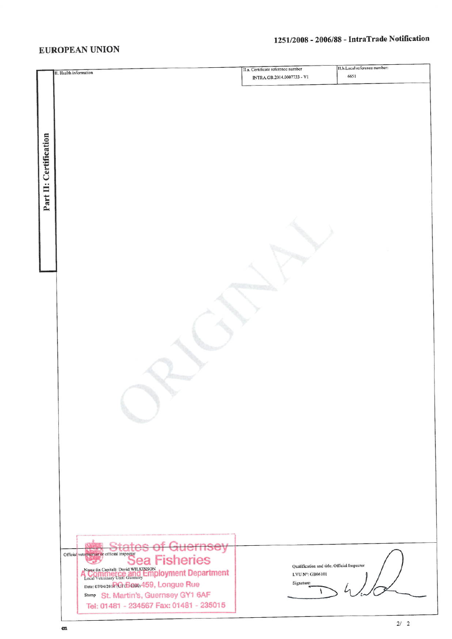## **EUROPEAN UNION**

# 1251/2008 - 2006/88 - IntraTrade Notification

|                        |                                                                                                    | II.a. Certificate reference number          | II.b. Local reference number: |
|------------------------|----------------------------------------------------------------------------------------------------|---------------------------------------------|-------------------------------|
|                        | II. Health information                                                                             | INTRA.GB.2014.0007733 - V1                  | 6651                          |
|                        |                                                                                                    |                                             |                               |
|                        |                                                                                                    |                                             |                               |
|                        |                                                                                                    |                                             |                               |
|                        |                                                                                                    |                                             |                               |
|                        |                                                                                                    |                                             |                               |
|                        |                                                                                                    |                                             |                               |
|                        |                                                                                                    |                                             |                               |
|                        |                                                                                                    |                                             |                               |
|                        |                                                                                                    |                                             |                               |
|                        |                                                                                                    |                                             |                               |
| Part II: Certification |                                                                                                    |                                             |                               |
|                        |                                                                                                    |                                             |                               |
|                        |                                                                                                    |                                             |                               |
|                        |                                                                                                    |                                             |                               |
|                        |                                                                                                    |                                             |                               |
|                        |                                                                                                    |                                             |                               |
|                        |                                                                                                    |                                             |                               |
|                        |                                                                                                    |                                             |                               |
|                        |                                                                                                    |                                             |                               |
|                        |                                                                                                    |                                             |                               |
|                        |                                                                                                    |                                             |                               |
|                        |                                                                                                    |                                             |                               |
|                        |                                                                                                    |                                             |                               |
|                        |                                                                                                    |                                             |                               |
|                        |                                                                                                    |                                             |                               |
|                        |                                                                                                    |                                             |                               |
|                        |                                                                                                    |                                             |                               |
|                        |                                                                                                    |                                             |                               |
|                        |                                                                                                    |                                             |                               |
|                        |                                                                                                    |                                             |                               |
|                        |                                                                                                    |                                             |                               |
|                        |                                                                                                    |                                             |                               |
|                        |                                                                                                    |                                             |                               |
|                        |                                                                                                    |                                             |                               |
|                        |                                                                                                    |                                             |                               |
|                        |                                                                                                    |                                             |                               |
|                        |                                                                                                    |                                             |                               |
|                        |                                                                                                    |                                             |                               |
|                        |                                                                                                    |                                             |                               |
|                        |                                                                                                    |                                             |                               |
|                        |                                                                                                    |                                             |                               |
|                        |                                                                                                    |                                             |                               |
|                        | States of<br><b>CLEVELS</b><br><del>3uernsey</del>                                                 |                                             |                               |
|                        | Official vetermarian or official inspector<br><b>Sea Fisheries</b>                                 |                                             |                               |
|                        |                                                                                                    | Qualification and title: Official Inspector |                               |
|                        | Name (in Capital): David WILKINSON<br>Local Veterinary Unit: Guernsey <b>Employment Department</b> | LVU Nº: GB06101                             |                               |
|                        | Date: 07/04/201 RG B000 459, Longue Rue                                                            | Signature:                                  |                               |
|                        | Stamp St. Martin's, Guernsey GY1 6AF                                                               |                                             |                               |
|                        | Tel: 01481 - 234567 Fax: 01481 - 235015                                                            |                                             |                               |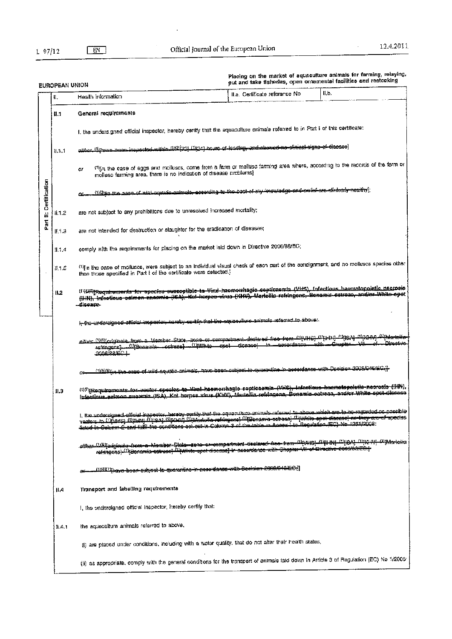$\ddot{\phantom{0}}$ 

 $\hat{\mathcal{L}}$ 

Placing on the market of aquaculture animals for farming, relaying,<br>out and take fisheries, open ornamental facilities and restocking

|                   | EUROPEAN UNION |                                                                                                                                                                                                                                                                                         | ри апо таке пъненез, оран онишенен почин |       |  |  |  |
|-------------------|----------------|-----------------------------------------------------------------------------------------------------------------------------------------------------------------------------------------------------------------------------------------------------------------------------------------|------------------------------------------|-------|--|--|--|
|                   | П.             | Health information                                                                                                                                                                                                                                                                      | II.a. Certificate referance No           | II.b. |  |  |  |
|                   | Ħ.1            | General requirements                                                                                                                                                                                                                                                                    |                                          |       |  |  |  |
|                   |                | I, the undersigned official inspector, hereby certify that the aquaculture enimals referred to in Part I of this certificate:                                                                                                                                                           |                                          |       |  |  |  |
|                   | 11.1.1         | alias Ulbaua basa incuscion wilbin Ul2i721 Ul241 hours of leading, and showed no of nicel cigne of dicease]                                                                                                                                                                             |                                          |       |  |  |  |
|                   |                | (1)[in the case of eggs and molluscs, come from a farm or mollusc farming area where, according to the recerds of the farm or<br>or<br>molluse farming area, there is no indication of disease problems)                                                                                |                                          |       |  |  |  |
| II: Certification |                | <u>())Quin une nasq of wiki aquatic animula, according to the book of my knowledge and polici are ofinivally nealliy]</u>                                                                                                                                                               |                                          |       |  |  |  |
|                   | ii. 1.2        | are not subject to any prohibitions due to unresolved increased mortality;                                                                                                                                                                                                              |                                          |       |  |  |  |
| Part              | II. L. 3       | are not intended for destruction or slaughter for the eradication of diseases;                                                                                                                                                                                                          |                                          |       |  |  |  |
|                   | 11.1.4         | comply with the requirements for placing on the market laid down in Directive 2006/88/EC;                                                                                                                                                                                               |                                          |       |  |  |  |
|                   | 11.1.6         | <sup>(1)</sup> [in the case of molluses, were subject to an individual visual chack of each part of the consignment, and ho molluses species other<br>than those specified in Part I of the certificate were detected I                                                                 |                                          |       |  |  |  |
|                   | 82             | (1){4) Req <del>uirements for species susseptible to Vini</del> -haemorrhagie-espticaemia (VHS), infactious haematopolatic nacrosis<br>(IIIII), infectious salmen ansemia (ISA), Kei korpes virus (KHV), Marteilla refringens, Benamis estress, and/or White epet<br>-disease-          |                                          |       |  |  |  |
|                   |                | i-die-undereigned affisial increator, hereby contax that the oquaculture animals referred to above:                                                                                                                                                                                     |                                          |       |  |  |  |
|                   |                | eitrer (1161/originale_trom.a. Member_State, zone or comparment deelared free from Divi+6) (Dig.Hy_Originale_tom.a. Nt<br>refringens] 11990nam(a octress) 1000nte cast dicesse)<br>2006/88/EC-1                                                                                         |                                          |       |  |  |  |
|                   |                | <u>(1)OlOyn tae osse of wild squabe animals, have boen subject to quaractine in accordance with Decision 2008/048/5G.}}</u><br>C.                                                                                                                                                       |                                          |       |  |  |  |
|                   | 11.3           | (f) TEaquiraments for vector species to Viral hasmonitagio septicaemia (VHS), Infectious hasmatepoletic necrosis (HH),<br>Infactious salmon ansemia (ISA), Koi herpes virus (KHI), Marteilía refringens, Sonamia setreca, and/or White spot-diceses                                     |                                          |       |  |  |  |
|                   |                | I, the undersigned efficial inspector, hereby gertify that the aquaculture animals referred to above which are to he-regarded ac possible<br>verlors to WRA-151 (Bushall MusA) (Nexury Old Antolia retringenc) Museonama estrence) "Printle apet classese) as they are of apecies       |                                          |       |  |  |  |
|                   |                | <i>аііі ал <sup>та</sup>раізілага -</i> Польча-Мала <del>іза - Slota - запа-канотрал мала - desiased- (165- Поль<sup>-Д</sup>руна) - <sup>Да</sup>рунан - Друнаніза</del><br>refringens}- <sup>(2)</sup> {Bonamia-estreac}- <sup>(2)</sup> {44}iite-epat-disceae}-in-asserdance-with-Gl |                                          |       |  |  |  |
|                   |                | <u>. 11/61(7) pava-boon-eubjact-le-querantine-in-accordance-with-Decision-2008/048/EO.]</u>                                                                                                                                                                                             |                                          |       |  |  |  |
|                   | H.4            | Transport and labelling requirements                                                                                                                                                                                                                                                    |                                          |       |  |  |  |
|                   |                | I, the undersigned official inspector, hereby certify that:                                                                                                                                                                                                                             |                                          |       |  |  |  |
|                   | li.e. 1        | the aquaculture animals referred to above,                                                                                                                                                                                                                                              |                                          |       |  |  |  |
|                   |                | (i) are placed under conditions, including with a water quality, that do not after their health status,                                                                                                                                                                                 |                                          |       |  |  |  |
|                   |                | (ii) as appropriate, comply with the general conditions for the transport of animals laid down in Article 3 of Regulation (EC) No 1/2005:                                                                                                                                               |                                          |       |  |  |  |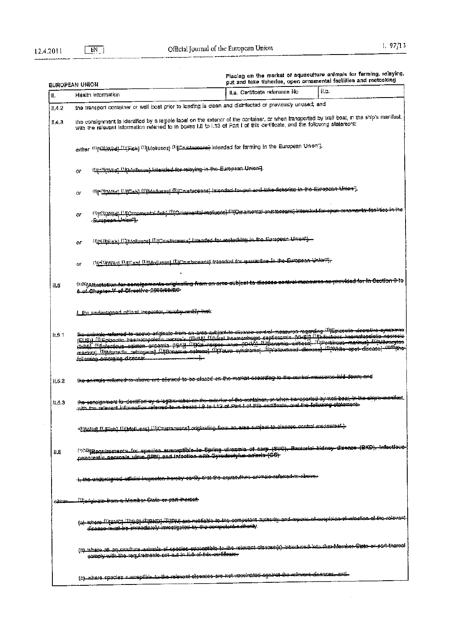$\bar{\beta}$ 

 $\hat{\mathcal{A}}$ 

|        | EUROPEAN UNION                                                                                                                                                                                                                                                                                                                                                                                                                                                                                                                                                                   |                                                                                  | Placing on the market of aquaculture animals for farming, relaying,<br>out and take fisheries, open ornamental facilities and restocking |
|--------|----------------------------------------------------------------------------------------------------------------------------------------------------------------------------------------------------------------------------------------------------------------------------------------------------------------------------------------------------------------------------------------------------------------------------------------------------------------------------------------------------------------------------------------------------------------------------------|----------------------------------------------------------------------------------|------------------------------------------------------------------------------------------------------------------------------------------|
| II.    | Health information                                                                                                                                                                                                                                                                                                                                                                                                                                                                                                                                                               | II.a. Certificate reference No                                                   | 11.D.                                                                                                                                    |
| 11.4.2 | the transport container or well boat prior to loading is clean and disinfected or previously unused; and                                                                                                                                                                                                                                                                                                                                                                                                                                                                         |                                                                                  |                                                                                                                                          |
| f1.4.3 | the consignment is identified by a legible label on the exterior of the container, or when transported by well boat, in the ship's marifest,<br>with the relevant information referred to in boxes I.8 to 1.13 of Part I of this certificate, and the following statement:                                                                                                                                                                                                                                                                                                       |                                                                                  |                                                                                                                                          |
|        | Options (Display Of Mohuses) (Dicrustaceans) intended for farming in the European Union"].<br>either                                                                                                                                                                                                                                                                                                                                                                                                                                                                             |                                                                                  |                                                                                                                                          |
|        | (IndipMid) (lip/oliuses) intended for relaying in the European Union").<br>or                                                                                                                                                                                                                                                                                                                                                                                                                                                                                                    |                                                                                  |                                                                                                                                          |
|        | (firstname) (firmshi (finacturess) (fircustaceans) intended for put and take fickerise in the European Union"),<br>or                                                                                                                                                                                                                                                                                                                                                                                                                                                            |                                                                                  |                                                                                                                                          |
|        | (1)printing).[1] fornamental fight (1) Congressiol molleces].(1) Conamental existe engine intended for engine omamental<br>or<br>بالتحفاظ المستوجبين                                                                                                                                                                                                                                                                                                                                                                                                                             |                                                                                  |                                                                                                                                          |
|        | (the three of Clinical memory of the control of the control of the European Union'),<br>oг                                                                                                                                                                                                                                                                                                                                                                                                                                                                                       |                                                                                  |                                                                                                                                          |
|        | UgailinNaci UnFishi (DiMolluscs) (DiCrusiaceaes) intended for quarantine in the European Union"?<br>or                                                                                                                                                                                                                                                                                                                                                                                                                                                                           |                                                                                  |                                                                                                                                          |
| ii.5   | <sup>(1/0)</sup> [Al <del>laslalion-far consignments originsling from an area subject to discoso control monowes as provided for in Occlion</del><br>6 of Chapter V of Directive 2000/00/RO                                                                                                                                                                                                                                                                                                                                                                                      |                                                                                  |                                                                                                                                          |
|        | the understanad official inspector, berelay carlify                                                                                                                                                                                                                                                                                                                                                                                                                                                                                                                              |                                                                                  |                                                                                                                                          |
| 1.5.1  | <del>iho animale reformod io abovo ariginalo from an aroa au</del> bjook to dispaso centrol measuroo regarding (li <mark>tepleoolio aleerativo ayndromo</mark><br>(ELIS)] (i)[Epizoolic basmatopoistic norros r (EHN)] (littles) beemordageo septiesemia (VHS)] (iltrascrevue haematopoistic ne<br>(Hab)] (Diprecticus sakaon ancemia (ISA)) (IIKoi herpee unus (XHV) (Diponemia exitiesa) (Preckinous marinus) (PRHired<br>markini] (Ujasarteila refringens] (UjBonamia estreae) (UjTaura syndrome) (UjYallewhead diessee) (UjWhite spet-disease)<br>following emerging disease |                                                                                  |                                                                                                                                          |
| 11.5.2 | the entimals referred to above are attened to be placed on the market-coording to the control measures hald dewny                                                                                                                                                                                                                                                                                                                                                                                                                                                                |                                                                                  |                                                                                                                                          |
| 1.5.3  | t <del>he sensignment is dentified by a lagible label en the exterier of the container, at when maceported by woll boat, in the chipe manifest</del><br>information<br><u>relevent</u><br>كالأزين<br>竹中                                                                                                                                                                                                                                                                                                                                                                          | $-10$ to $132$ of $\overline{0}$ of this continuate and the following childrich. |                                                                                                                                          |
|        | . (http://www.com/www.com/www.com/www.com/www.com/www.com/www.com/www.com/www.com/www.com/www.com/ww                                                                                                                                                                                                                                                                                                                                                                                                                                                                             |                                                                                  |                                                                                                                                          |
| H.6    | (1)C0)[Bequirements_for_spanies_euscaptible_to_Spring_viresmis_of_carp_(SVC),_Bactorial_kidney_diesace_(BKD),_infections<br>penorestic peorosis virus (IPN) and Infoction with Gyrodectylus-solaris (GG)                                                                                                                                                                                                                                                                                                                                                                         |                                                                                  |                                                                                                                                          |
|        | l <del>l the undersigned sificial inepocier, horeby certify trat ins aquaestum animalo referrachto above.</del>                                                                                                                                                                                                                                                                                                                                                                                                                                                                  |                                                                                  |                                                                                                                                          |
| بصللت  | :Ufgdginate-from-a- <del>Mombsr-State-or-part-blarsof</del> -                                                                                                                                                                                                                                                                                                                                                                                                                                                                                                                    |                                                                                  |                                                                                                                                          |
|        | (a) where (1) SMC) (1) GS) (1) BKD) (1) (IPN) are notifiable to the compotent authority and reports of suspicion of infaction of the relevant<br>discase-must-be-immediately investigated by the compolent sulterity.                                                                                                                                                                                                                                                                                                                                                            |                                                                                  |                                                                                                                                          |
|        | (b) where all aquaculture animals of crocies euroeptible to the relevant disease(s) interluesd into the Member State er part thereof<br>comply will the requirements cat out in it.s of this certificate.                                                                                                                                                                                                                                                                                                                                                                        |                                                                                  |                                                                                                                                          |
|        | (c) where species susceptible to the relevont dissures are not veroinated against the relevent dissasss, and .                                                                                                                                                                                                                                                                                                                                                                                                                                                                   |                                                                                  |                                                                                                                                          |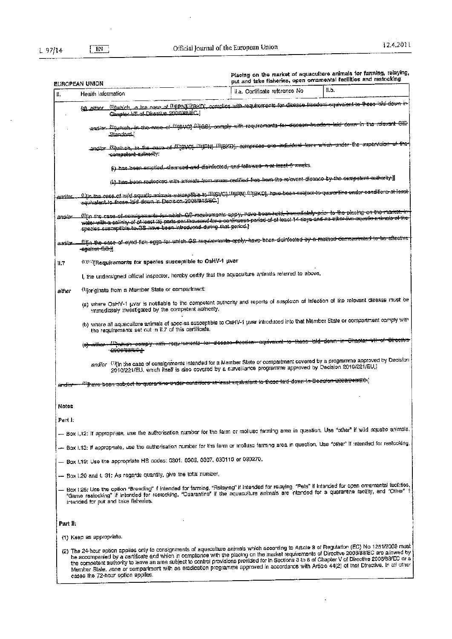l,

 $\bar{z}$ 

L.

quaculture animals for farming, relaying  $\mathbf{w}$  $\mathbf{r}$  $\overline{a}$ J.  $\ddot{\phantom{a}}$ 

l,

|          | EUROPEAN UNION                                                                                                                                                                                                                                                                                                                                                                                                                                                                                                                                                                                                                  |                                                                                        | Placing on the market of aquaculture annuals to remove, relevant<br>put and take fisheries, open omamental facilities and restocking |
|----------|---------------------------------------------------------------------------------------------------------------------------------------------------------------------------------------------------------------------------------------------------------------------------------------------------------------------------------------------------------------------------------------------------------------------------------------------------------------------------------------------------------------------------------------------------------------------------------------------------------------------------------|----------------------------------------------------------------------------------------|--------------------------------------------------------------------------------------------------------------------------------------|
| ı.       | Health Information                                                                                                                                                                                                                                                                                                                                                                                                                                                                                                                                                                                                              | II.a. Cortificate reference No                                                         | ll.b.                                                                                                                                |
|          | <u>Ultwhich in the case of WIPNINBKD, complies with requirements for disease freedom equivalent to these also dev</u><br><u>(d) eliner </u><br>Chapter MIL of Directive 2006/88/EC I                                                                                                                                                                                                                                                                                                                                                                                                                                            |                                                                                        |                                                                                                                                      |
|          | and/or. Which in the ease of W640] WiGSI comply with requirements for disease insedern laid cown in the relevant OiF<br>Etandard i                                                                                                                                                                                                                                                                                                                                                                                                                                                                                              |                                                                                        |                                                                                                                                      |
|          | andlor White the His-auss of U'SVOI (Uppy U'BKD), compilees ene Individual farm which under the supervision<br>competent authority:                                                                                                                                                                                                                                                                                                                                                                                                                                                                                             |                                                                                        |                                                                                                                                      |
|          | (i) has been emptied, sieansed and disinfected, and fallowed a at least 6 weeks.                                                                                                                                                                                                                                                                                                                                                                                                                                                                                                                                                |                                                                                        |                                                                                                                                      |
|          | (ii) has been resircked will animals from areas contited free from the relevant disease by the competent authority.]]                                                                                                                                                                                                                                                                                                                                                                                                                                                                                                           |                                                                                        |                                                                                                                                      |
| and/or   | <u>filin iha casa of wiki squalic animals suscaplible to HigSVC) (Пири). ПиркО). have been subject to quarantics under consitione at least</u><br>aquivalent to those loid down in Decreton 2008/948/EC ]                                                                                                                                                                                                                                                                                                                                                                                                                       |                                                                                        |                                                                                                                                      |
| andicr   | <br>Wijn die case si sensigemente is which GS-roquipments apply, have been held, inmediately prim to the placing on the market, in<br>water with a salinity of at least 25 parts per thousand for a continueus paried of at least 14 days and no sther live aquetic painmic of the<br>spacies susceptible to GS have been introduced during that period.                                                                                                                                                                                                                                                                        |                                                                                        |                                                                                                                                      |
| and/or   | <u>lliljn the case of synd fich egge for which GS requiremente apply have been diginfected by a methed demonstrated to be effective</u><br><del>-agalnet GC:)</del> ]                                                                                                                                                                                                                                                                                                                                                                                                                                                           |                                                                                        |                                                                                                                                      |
| 11.7     | (9399) (Party Requirements for species susceptible to OsHV-1 pvar                                                                                                                                                                                                                                                                                                                                                                                                                                                                                                                                                               |                                                                                        |                                                                                                                                      |
|          | I, the undersigned official inspector, hereby certify that the aquaculture animals referred to above,                                                                                                                                                                                                                                                                                                                                                                                                                                                                                                                           |                                                                                        |                                                                                                                                      |
| either   | (tip riginate from a Member State or compartment:                                                                                                                                                                                                                                                                                                                                                                                                                                                                                                                                                                               |                                                                                        |                                                                                                                                      |
|          | (a) where OsHV-1 uvar is notifiable to the competent authority and reports of suspicion of infection of the relevant disease must be<br>immediately investigated by the competent authority.                                                                                                                                                                                                                                                                                                                                                                                                                                    |                                                                                        |                                                                                                                                      |
|          | (b) where all aquaculture animals of species susceptible to OsHV-1 uver introduced into that Member State or compartment comply with<br>the requirements set out in 11.7 of this certificate.                                                                                                                                                                                                                                                                                                                                                                                                                                   |                                                                                        |                                                                                                                                      |
|          | مطلعت<br><del>2906/88/EC.1</del>                                                                                                                                                                                                                                                                                                                                                                                                                                                                                                                                                                                                | -comply-with-requirements-for-dissage-freedom-oquivaient-to-these-laid-down-in-Ohapter |                                                                                                                                      |
|          | and/or. <sup>(1)</sup> [in the case of consignments intended for a Mamber State or compartment covered by a programme approved by Decision<br>2010/221/EU, which itself is also covered by a surveillance programme approved by Decision 2010/221/EU,}                                                                                                                                                                                                                                                                                                                                                                          |                                                                                        |                                                                                                                                      |
| andia    | <sup>(1)</sup> jha <del>ve been subject to quaranting under canditions at least aquivalent to these laid-down in Decision 2008/943/EG.]</del>                                                                                                                                                                                                                                                                                                                                                                                                                                                                                   |                                                                                        |                                                                                                                                      |
| Notes    |                                                                                                                                                                                                                                                                                                                                                                                                                                                                                                                                                                                                                                 |                                                                                        |                                                                                                                                      |
| Part I:  |                                                                                                                                                                                                                                                                                                                                                                                                                                                                                                                                                                                                                                 |                                                                                        |                                                                                                                                      |
|          | - Box 1,12: If appropriate, use the authorisation number for the farm or moliuso farming area in question. Use "other" if wild aquatic animals.                                                                                                                                                                                                                                                                                                                                                                                                                                                                                 |                                                                                        |                                                                                                                                      |
|          | - Box f.13: If appropriate, use the authorisation number for the farm or molluso farming area in question. Use "other" if intended for restocking,                                                                                                                                                                                                                                                                                                                                                                                                                                                                              |                                                                                        |                                                                                                                                      |
|          | - Box 1.19: Use the appropriate HS codes: 0301; 0306, 0307, 030110 or 030270.                                                                                                                                                                                                                                                                                                                                                                                                                                                                                                                                                   |                                                                                        |                                                                                                                                      |
|          | - Box 1.20 and 1. 31. As regards quantity, give the total number,                                                                                                                                                                                                                                                                                                                                                                                                                                                                                                                                                               |                                                                                        |                                                                                                                                      |
|          | — Box I.25: Use the option "Breeding" if intended for farming, "Relaying" if intended for relaying, "Pets" if intended for open ornamental facilities,<br>"Game restocking" if intended for restocking, "Quarantine" if the aquaculture animals are intended for a quarantine facility, and "Other" if<br>intended for put and take fisheries.                                                                                                                                                                                                                                                                                  |                                                                                        |                                                                                                                                      |
| Part II: |                                                                                                                                                                                                                                                                                                                                                                                                                                                                                                                                                                                                                                 |                                                                                        |                                                                                                                                      |
|          | (1) Keep as appropriate.                                                                                                                                                                                                                                                                                                                                                                                                                                                                                                                                                                                                        |                                                                                        |                                                                                                                                      |
|          | (2) The 24-hour option applies only to consignments of aquaculture animals which according to Article 8 of Regulation (EC) No 1251/2008 must<br>be accompanied by a certificate and which in compliance with the placing on the market requirements of Directive 2008/88/EC are allowed by<br>the competent authority to leave an area subject to control provisions provided for in Sections 3 to 6 of Chapter V of Directive 2008/88/EC or a<br>Member State, zone or compartment with an eradication programme approved in accordance with Artice 44(2) of that Directive. In all other<br>cases the 72-hour option applies. |                                                                                        |                                                                                                                                      |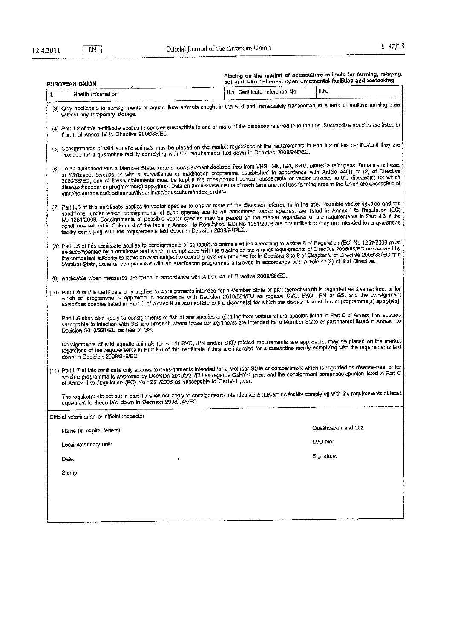$E$ 

| EUROPEAN UNION<br>Health information<br>И.                                                                                                                                                                                                                                                                                                                                                                                                                                                                                                                                                                                                                         | il.a. Certificate reference No | II.b.                    |
|--------------------------------------------------------------------------------------------------------------------------------------------------------------------------------------------------------------------------------------------------------------------------------------------------------------------------------------------------------------------------------------------------------------------------------------------------------------------------------------------------------------------------------------------------------------------------------------------------------------------------------------------------------------------|--------------------------------|--------------------------|
|                                                                                                                                                                                                                                                                                                                                                                                                                                                                                                                                                                                                                                                                    |                                |                          |
| (3) Only applicable to consignments of aquaculture animals caught in the wild and immediately transported to a ferm or molluse farming area<br>without any temporary storage.                                                                                                                                                                                                                                                                                                                                                                                                                                                                                      |                                |                          |
| (4) Part lt.2 of this certificate applies to species susceptible to one or more of the diseases referred to in the title. Susceptible species are listed in<br>Part II of Annex IV to Directive 2008/88/EC.                                                                                                                                                                                                                                                                                                                                                                                                                                                        |                                |                          |
| (5) Consignments of wild aquatic animals may be placed on the market regardless of the requirements in Part 11,2 of this certificate if they are<br>intended for a quarantine facility complying with the requirements faid down in Decision 2008/946/EC.                                                                                                                                                                                                                                                                                                                                                                                                          |                                |                          |
| (6) To be authorised into a Member State, zone or compartment declared free from VHS, IHN, ISA, KHV, Marteilla refringens, Bonamia ostreae,<br>or Whitespot disease or with a surveillance or eradication programme established in accordance with Article 44(1) or (2) of Directive<br>2006/88/EC, one of these statements must be kept if the consignment contain susceptible or vector species to the disease(s) for which<br>disease freedom or programme(s) apply(ies). Data on the disease status of each tarm and mollusc farming area in the Union are accessible at<br>nttp://ec.europa.eu/food/animal/ilveanimals/aquaculture/index_en.htm               |                                |                          |
| (7) Part II.3 of this certificate applies to vector species to one or more of the diseases referred to in the title. Possible vector species and the<br>conditions, under which consignments of such species are to be considered vector species, are listed in Annex I to Regulation (EC)<br>No 1251/2008. Consignments of possible vector species may be placed on the market regardless of the requirements in Part #.3 if the<br>conditions set out in Column 4 of the table in Annex I to Regulation (EC) No 1251/2008 are not fulfilled or they are intended for a quarantine<br>facility complying with the requirements laid down in Decision 2008/946/EC. |                                |                          |
| (3) Part II.5 of this certificate applies to consignments of aquaculture animals which according to Article 8 of Regulation (EC) No 1251/2008 must<br>be accompanied by a certificate and which in compilance with the placing on the market requirements of Directive 2006/88/EC are allowed by<br>the competent authority to leave an area subject to control provisions provided for in Sections 3 to 6 of Chapter V of Directive 2008/88/EC or a<br>Member State, zone or compartment with an eradication programme approved in accordance with Article 44(2) of that Directive.                                                                               |                                |                          |
| (9) Apolicable when measures are taken in accordance with Article 41 of Directive 2006/88/EC.                                                                                                                                                                                                                                                                                                                                                                                                                                                                                                                                                                      |                                |                          |
| (10) Part II.8 of this certificate only applies to consignments intended for a Member State or part thereof which is regarded as disease-free, or for<br>which an programme is approved in accordance with Decision 2010/221/EU as regards SVC, BKD, IPN or GS, and the consignment<br>comprises species listed in Part C of Armex II as susceptible to the disease(s) for which the disease-free status or programme(s) apply(ies).                                                                                                                                                                                                                               |                                |                          |
| Part II.6 shall also apply to consignments of fish of any species originating from waters where species listed in Part C of Armex II as species<br>susceptible to infaction with GB, are present, where those consignments are intended for a Member State or part thereof listed in Annex I to<br>Decision 2010/221/EU as free of GS.                                                                                                                                                                                                                                                                                                                             |                                |                          |
| Consignments of wild aquatic animals for which SVC, IPN and/or BKD related requirements are applicable, may be placed on the market<br>regardiass of the requirements in Part II.6 of this certificate if they are intanded for a quarantine facility complying with the requirements laid<br>down in Decision 2008/948/EC.                                                                                                                                                                                                                                                                                                                                        |                                |                          |
| (11) Part II.7 of this certificate only applies to consignments intended for a Member State or compartment which is regarded as disease-free, or for<br>which a programme is approved by Decision 2010/221/EU as regards OsHV-1 uver, and the consignment comprises species listed in Part C<br>of Armex II to Regulation (EC) No 1251/2008 as susceptible to OsHV-1 uver.                                                                                                                                                                                                                                                                                         |                                |                          |
| The requirements set out in part #.7 shall not apply to consignments intended for a quarantine facility complying with the requirements at least<br>equivalent to those laid down in Decision 2008/946/EC.                                                                                                                                                                                                                                                                                                                                                                                                                                                         |                                |                          |
| Official veterinarian or official inspector                                                                                                                                                                                                                                                                                                                                                                                                                                                                                                                                                                                                                        |                                |                          |
| Name (in capital letters):                                                                                                                                                                                                                                                                                                                                                                                                                                                                                                                                                                                                                                         |                                | Qualification and title: |
| Local veterinary unit:                                                                                                                                                                                                                                                                                                                                                                                                                                                                                                                                                                                                                                             |                                | LVU No:                  |
| Date:                                                                                                                                                                                                                                                                                                                                                                                                                                                                                                                                                                                                                                                              |                                | Signature:               |
| Stamp:                                                                                                                                                                                                                                                                                                                                                                                                                                                                                                                                                                                                                                                             |                                |                          |
|                                                                                                                                                                                                                                                                                                                                                                                                                                                                                                                                                                                                                                                                    |                                |                          |
|                                                                                                                                                                                                                                                                                                                                                                                                                                                                                                                                                                                                                                                                    |                                |                          |
|                                                                                                                                                                                                                                                                                                                                                                                                                                                                                                                                                                                                                                                                    |                                |                          |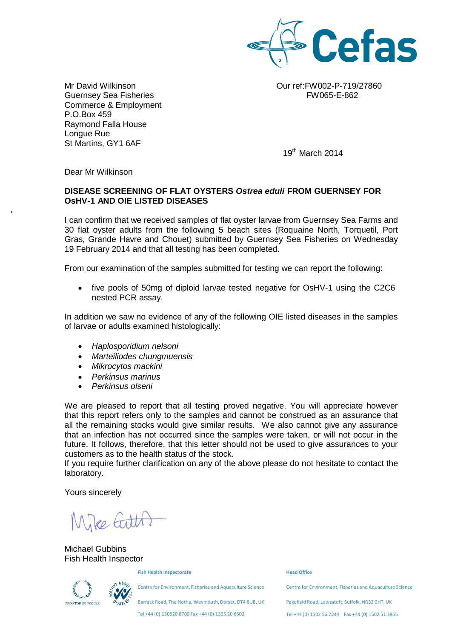

Guernsey Sea Fisheries FW065-E-862 Commerce & Employment P.O.Box 459 Raymond Falla House Longue Rue St Martins, GY1 6AF

Mr David Wilkinson Our ref:FW002-P-719/27860

19th March 2014

Dear Mr Wilkinson

•

### **DISEASE SCREENING OF FLAT OYSTERS** *Ostrea eduli* **FROM GUERNSEY FOR OsHV-1 AND OIE LISTED DISEASES**

I can confirm that we received samples of flat oyster larvae from Guernsey Sea Farms and 30 flat oyster adults from the following 5 beach sites (Roquaine North, Torquetil, Port Gras, Grande Havre and Chouet) submitted by Guernsey Sea Fisheries on Wednesday 19 February 2014 and that all testing has been completed.

From our examination of the samples submitted for testing we can report the following:

• five pools of 50mg of diploid larvae tested negative for OsHV-1 using the C2C6 nested PCR assay.

In addition we saw no evidence of any of the following OIE listed diseases in the samples of larvae or adults examined histologically:

- *Haplosporidium nelsoni*
- *Marteiliodes chungmuensis*
- *Mikrocytos mackini*
- *Perkinsus marinus*
- *Perkinsus olseni*

We are pleased to report that all testing proved negative. You will appreciate however that this report refers only to the samples and cannot be construed as an assurance that all the remaining stocks would give similar results. We also cannot give any assurance that an infection has not occurred since the samples were taken, or will not occur in the future. It follows, therefore, that this letter should not be used to give assurances to your customers as to the health status of the stock.

If you require further clarification on any of the above please do not hesitate to contact the laboratory.

Yours sincerely

Mike Gilth?

Michael Gubbins Fish Health Inspector

**Fish Health Inspectorate**

Centre for Environment, Fisheries and Aquaculture Science

Barrack Road, The Nothe, Weymouth, Dorset, DT4 8UB, UK

Tel +44 (0) 130520 6700 Fax +44 (0) 1305 20 6602

#### **Head Office**

Centre for Environment, Fisheries and Aquaculture Science

Pakefield Road, Lowestoft, Suffolk, NR33 0HT, UK

Tel +44 (0) 1502 56 2244 Fax +44 (0) 1502 51 3865